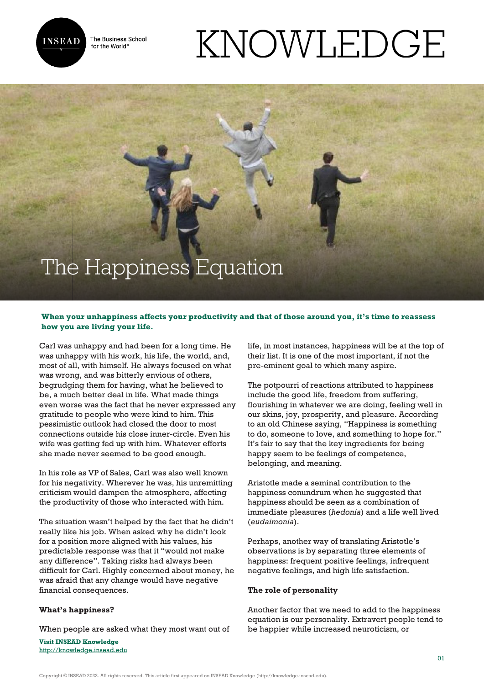

The Business School for the World<sup>®</sup>

# KNOWLEDGE

# The Happiness Equation

### **When your unhappiness affects your productivity and that of those around you, it's time to reassess how you are living your life.**

Carl was unhappy and had been for a long time. He was unhappy with his work, his life, the world, and, most of all, with himself. He always focused on what was wrong, and was bitterly envious of others, begrudging them for having, what he believed to be, a much better deal in life. What made things even worse was the fact that he never expressed any gratitude to people who were kind to him. This pessimistic outlook had closed the door to most connections outside his close inner-circle. Even his wife was getting fed up with him. Whatever efforts she made never seemed to be good enough.

In his role as VP of Sales, Carl was also well known for his negativity. Wherever he was, his unremitting criticism would dampen the atmosphere, affecting the productivity of those who interacted with him.

The situation wasn't helped by the fact that he didn't really like his job. When asked why he didn't look for a position more aligned with his values, his predictable response was that it "would not make any difference". Taking risks had always been difficult for Carl. Highly concerned about money, he was afraid that any change would have negative financial consequences.

#### **What's happiness?**

When people are asked what they most want out of

**Visit INSEAD Knowledge** <http://knowledge.insead.edu> life, in most instances, happiness will be at the top of their list. It is one of the most important, if not the pre-eminent goal to which many aspire.

The potpourri of reactions attributed to happiness include the good life, freedom from suffering, flourishing in whatever we are doing, feeling well in our skins, joy, prosperity, and pleasure. According to an old Chinese saying, "Happiness is something to do, someone to love, and something to hope for." It's fair to say that the key ingredients for being happy seem to be feelings of competence, belonging, and meaning.

Aristotle made a seminal contribution to the happiness conundrum when he suggested that happiness should be seen as a combination of immediate pleasures (*hedonia*) and a life well lived (*eudaimonia*).

Perhaps, another way of translating Aristotle's observations is by separating three elements of happiness: frequent positive feelings, infrequent negative feelings, and high life satisfaction.

#### **The role of personality**

Another factor that we need to add to the happiness equation is our personality. Extravert people tend to be happier while increased neuroticism, or

Copyright © INSEAD 2022. All rights reserved. This article first appeared on INSEAD Knowledge (http://knowledge.insead.edu).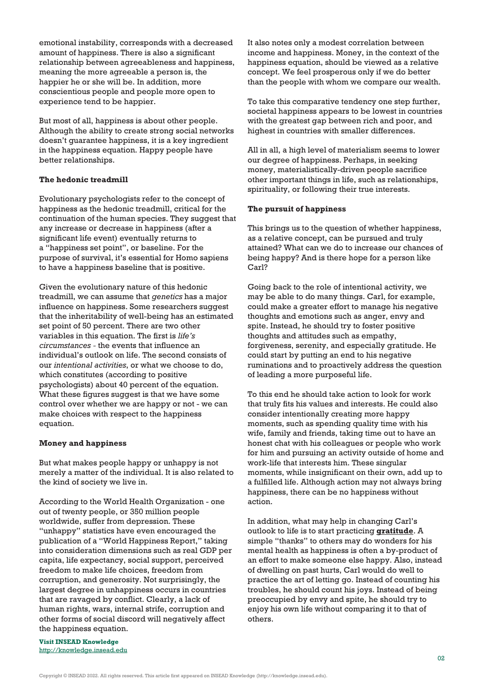emotional instability, corresponds with a decreased amount of happiness. There is also a significant relationship between agreeableness and happiness, meaning the more agreeable a person is, the happier he or she will be. In addition, more conscientious people and people more open to experience tend to be happier.

But most of all, happiness is about other people. Although the ability to create strong social networks doesn't guarantee happiness, it is a key ingredient in the happiness equation. Happy people have better relationships.

#### **The hedonic treadmill**

Evolutionary psychologists refer to the concept of happiness as the hedonic treadmill, critical for the continuation of the human species. They suggest that any increase or decrease in happiness (after a significant life event) eventually returns to a "happiness set point", or baseline. For the purpose of survival, it's essential for Homo sapiens to have a happiness baseline that is positive.

Given the evolutionary nature of this hedonic treadmill, we can assume that *genetics* has a major influence on happiness. Some researchers suggest that the inheritability of well-being has an estimated set point of 50 percent. There are two other variables in this equation. The first is *life's circumstances -* the events that influence an individual's outlook on life. The second consists of our *intentional activities*, or what we choose to do, which constitutes (according to positive psychologists) about 40 percent of the equation. What these figures suggest is that we have some control over whether we are happy or not - we can make choices with respect to the happiness equation.

#### **Money and happiness**

But what makes people happy or unhappy is not merely a matter of the individual. It is also related to the kind of society we live in.

According to the World Health Organization - one out of twenty people, or 350 million people worldwide, suffer from depression. These "unhappy" statistics have even encouraged the publication of a "World Happiness Report," taking into consideration dimensions such as real GDP per capita, life expectancy, social support, perceived freedom to make life choices, freedom from corruption, and generosity. Not surprisingly, the largest degree in unhappiness occurs in countries that are ravaged by conflict. Clearly, a lack of human rights, wars, internal strife, corruption and other forms of social discord will negatively affect the happiness equation.

It also notes only a modest correlation between income and happiness. Money, in the context of the happiness equation, should be viewed as a relative concept. We feel prosperous only if we do better than the people with whom we compare our wealth.

To take this comparative tendency one step further, societal happiness appears to be lowest in countries with the greatest gap between rich and poor, and highest in countries with smaller differences.

All in all, a high level of materialism seems to lower our degree of happiness. Perhaps, in seeking money, materialistically-driven people sacrifice other important things in life, such as relationships, spirituality, or following their true interests.

## **The pursuit of happiness**

This brings us to the question of whether happiness, as a relative concept, can be pursued and truly attained? What can we do to increase our chances of being happy? And is there hope for a person like Carl?

Going back to the role of intentional activity, we may be able to do many things. Carl, for example, could make a greater effort to manage his negative thoughts and emotions such as anger, envy and spite. Instead, he should try to foster positive thoughts and attitudes such as empathy, forgiveness, serenity, and especially gratitude. He could start by putting an end to his negative ruminations and to proactively address the question of leading a more purposeful life.

To this end he should take action to look for work that truly fits his values and interests. He could also consider intentionally creating more happy moments, such as spending quality time with his wife, family and friends, taking time out to have an honest chat with his colleagues or people who work for him and pursuing an activity outside of home and work-life that interests him. These singular moments, while insignificant on their own, add up to a fulfilled life. Although action may not always bring happiness, there can be no happiness without action.

In addition, what may help in changing Carl's outlook to life is to start practicing **[gratitude](http://knowledge.insead.edu/blog/insead-blog/the-power-of-gratitude-4154)**. A simple "thanks" to others may do wonders for his mental health as happiness is often a by-product of an effort to make someone else happy. Also, instead of dwelling on past hurts, Carl would do well to practice the art of letting go. Instead of counting his troubles, he should count his joys. Instead of being preoccupied by envy and spite, he should try to enjoy his own life without comparing it to that of others.

**Visit INSEAD Knowledge** <http://knowledge.insead.edu>

Copyright © INSEAD 2022. All rights reserved. This article first appeared on INSEAD Knowledge (http://knowledge.insead.edu).